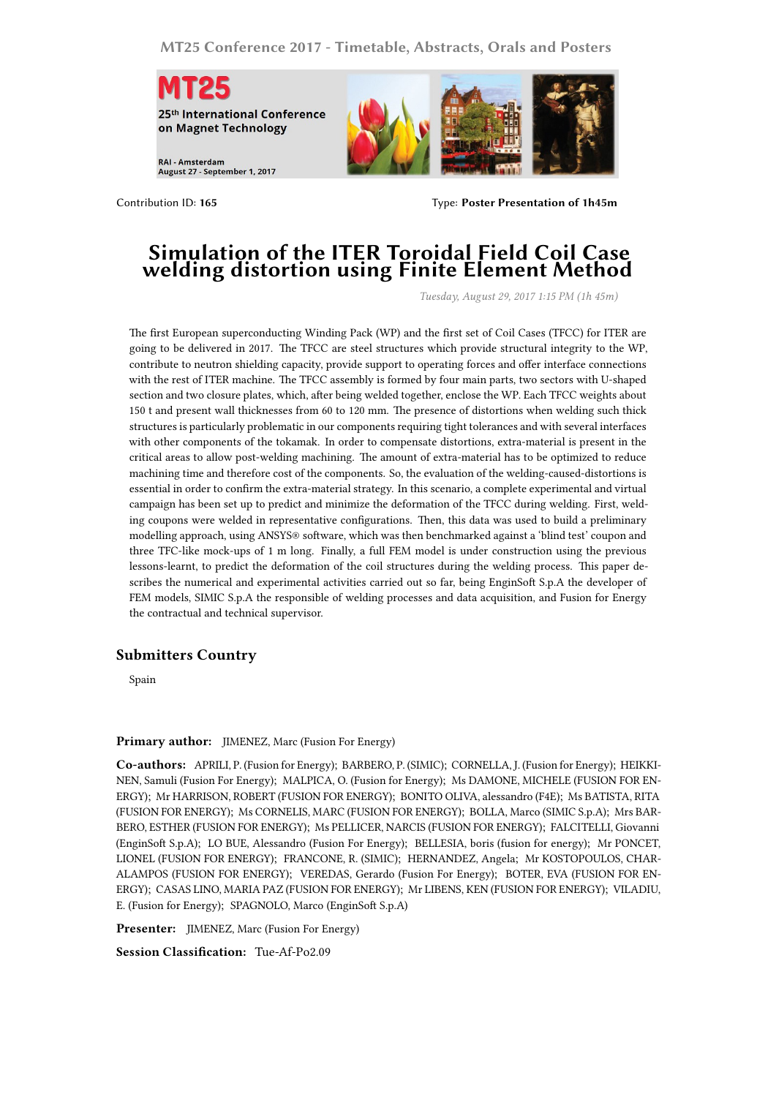**MT25 Conference 2017 - Timetable, Abstracts, Orals and Posters**



Contribution ID: **165** Type: **Poster Presentation of 1h45m**

## **Simulation of the ITER Toroidal Field Coil Case welding distortion using Finite Element Method**

*Tuesday, August 29, 2017 1:15 PM (1h 45m)*

The first European superconducting Winding Pack (WP) and the first set of Coil Cases (TFCC) for ITER are going to be delivered in 2017. The TFCC are steel structures which provide structural integrity to the WP, contribute to neutron shielding capacity, provide support to operating forces and offer interface connections with the rest of ITER machine. The TFCC assembly is formed by four main parts, two sectors with U-shaped section and two closure plates, which, after being welded together, enclose the WP. Each TFCC weights about 150 t and present wall thicknesses from 60 to 120 mm. The presence of distortions when welding such thick structures is particularly problematic in our components requiring tight tolerances and with several interfaces with other components of the tokamak. In order to compensate distortions, extra-material is present in the critical areas to allow post-welding machining. The amount of extra-material has to be optimized to reduce machining time and therefore cost of the components. So, the evaluation of the welding-caused-distortions is essential in order to confirm the extra-material strategy. In this scenario, a complete experimental and virtual campaign has been set up to predict and minimize the deformation of the TFCC during welding. First, welding coupons were welded in representative configurations. Then, this data was used to build a preliminary modelling approach, using ANSYS® software, which was then benchmarked against a 'blind test' coupon and three TFC-like mock-ups of 1 m long. Finally, a full FEM model is under construction using the previous lessons-learnt, to predict the deformation of the coil structures during the welding process. This paper describes the numerical and experimental activities carried out so far, being EnginSoft S.p.A the developer of FEM models, SIMIC S.p.A the responsible of welding processes and data acquisition, and Fusion for Energy the contractual and technical supervisor.

## **Submitters Country**

Spain

## **Primary author:** JIMENEZ, Marc (Fusion For Energy)

**Co-authors:** APRILI, P. (Fusion for Energy); BARBERO, P. (SIMIC); CORNELLA, J. (Fusion for Energy); HEIKKI-NEN, Samuli (Fusion For Energy); MALPICA, O. (Fusion for Energy); Ms DAMONE, MICHELE (FUSION FOR EN-ERGY); Mr HARRISON, ROBERT (FUSION FOR ENERGY); BONITO OLIVA, alessandro (F4E); Ms BATISTA, RITA (FUSION FOR ENERGY); Ms CORNELIS, MARC (FUSION FOR ENERGY); BOLLA, Marco (SIMIC S.p.A); Mrs BAR-BERO, ESTHER (FUSION FOR ENERGY); Ms PELLICER, NARCIS (FUSION FOR ENERGY); FALCITELLI, Giovanni (EnginSoft S.p.A); LO BUE, Alessandro (Fusion For Energy); BELLESIA, boris (fusion for energy); Mr PONCET, LIONEL (FUSION FOR ENERGY); FRANCONE, R. (SIMIC); HERNANDEZ, Angela; Mr KOSTOPOULOS, CHAR-ALAMPOS (FUSION FOR ENERGY); VEREDAS, Gerardo (Fusion For Energy); BOTER, EVA (FUSION FOR EN-ERGY); CASAS LINO, MARIA PAZ (FUSION FOR ENERGY); Mr LIBENS, KEN (FUSION FOR ENERGY); VILADIU, E. (Fusion for Energy); SPAGNOLO, Marco (EnginSoft S.p.A)

**Presenter:** JIMENEZ, Marc (Fusion For Energy)

**Session Classification:** Tue-Af-Po2.09